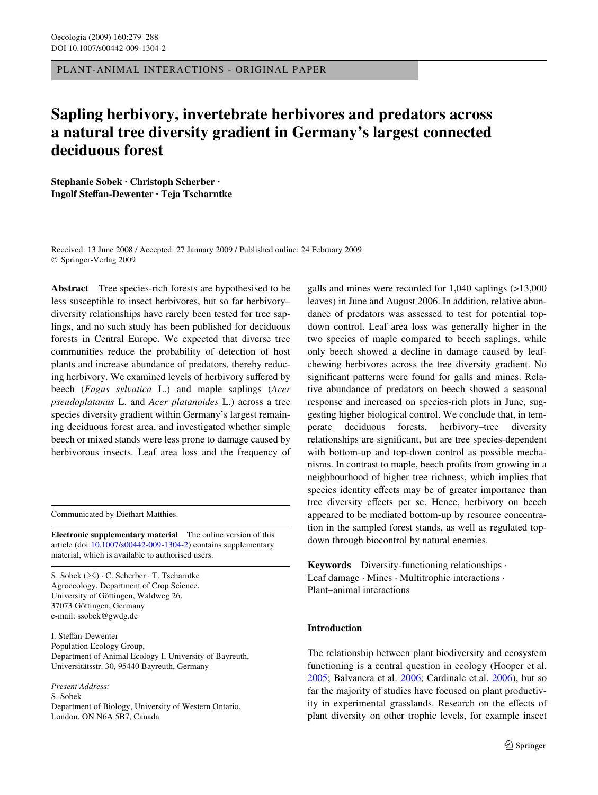PLANT-ANIMAL INTERACTIONS - ORIGINAL PAPER

# **Sapling herbivory, invertebrate herbivores and predators across a natural tree diversity gradient in Germany's largest connected deciduous forest**

**Stephanie Sobek · Christoph Scherber · Ingolf SteVan-Dewenter · Teja Tscharntke** 

Received: 13 June 2008 / Accepted: 27 January 2009 / Published online: 24 February 2009 © Springer-Verlag 2009

**Abstract** Tree species-rich forests are hypothesised to be less susceptible to insect herbivores, but so far herbivory– diversity relationships have rarely been tested for tree saplings, and no such study has been published for deciduous forests in Central Europe. We expected that diverse tree communities reduce the probability of detection of host plants and increase abundance of predators, thereby reducing herbivory. We examined levels of herbivory suffered by beech (*Fagus sylvatica* L.) and maple saplings (*Acer pseudoplatanus* L. and *Acer platanoides* L.) across a tree species diversity gradient within Germany's largest remaining deciduous forest area, and investigated whether simple beech or mixed stands were less prone to damage caused by herbivorous insects. Leaf area loss and the frequency of

Communicated by Diethart Matthies.

**Electronic supplementary material** The online version of this article (doi[:10.1007/s00442-009-1304-2](http://dx.doi.org/10.1007/s00442-009-1304-2)) contains supplementary material, which is available to authorised users.

S. Sobek (&) · C. Scherber · T. Tscharntke Agroecology, Department of Crop Science, University of Göttingen, Waldweg 26, 37073 Göttingen, Germany e-mail: ssobek@gwdg.de

I. Steffan-Dewenter Population Ecology Group, Department of Animal Ecology I, University of Bayreuth, Universitätsstr. 30, 95440 Bayreuth, Germany

*Present Address:* S. Sobek Department of Biology, University of Western Ontario, London, ON N6A 5B7, Canada

galls and mines were recorded for 1,040 saplings (>13,000 leaves) in June and August 2006. In addition, relative abundance of predators was assessed to test for potential topdown control. Leaf area loss was generally higher in the two species of maple compared to beech saplings, while only beech showed a decline in damage caused by leafchewing herbivores across the tree diversity gradient. No significant patterns were found for galls and mines. Relative abundance of predators on beech showed a seasonal response and increased on species-rich plots in June, suggesting higher biological control. We conclude that, in temperate deciduous forests, herbivory–tree diversity relationships are significant, but are tree species-dependent with bottom-up and top-down control as possible mechanisms. In contrast to maple, beech profits from growing in a neighbourhood of higher tree richness, which implies that species identity effects may be of greater importance than tree diversity effects per se. Hence, herbivory on beech appeared to be mediated bottom-up by resource concentration in the sampled forest stands, as well as regulated topdown through biocontrol by natural enemies.

**Keywords** Diversity-functioning relationships · Leaf damage · Mines · Multitrophic interactions · Plant–animal interactions

## **Introduction**

The relationship between plant biodiversity and ecosystem functioning is a central question in ecology (Hooper et al. [2005](#page-8-0); Balvanera et al. [2006;](#page-7-0) Cardinale et al. [2006](#page-7-1)), but so far the majority of studies have focused on plant productivity in experimental grasslands. Research on the effects of plant diversity on other trophic levels, for example insect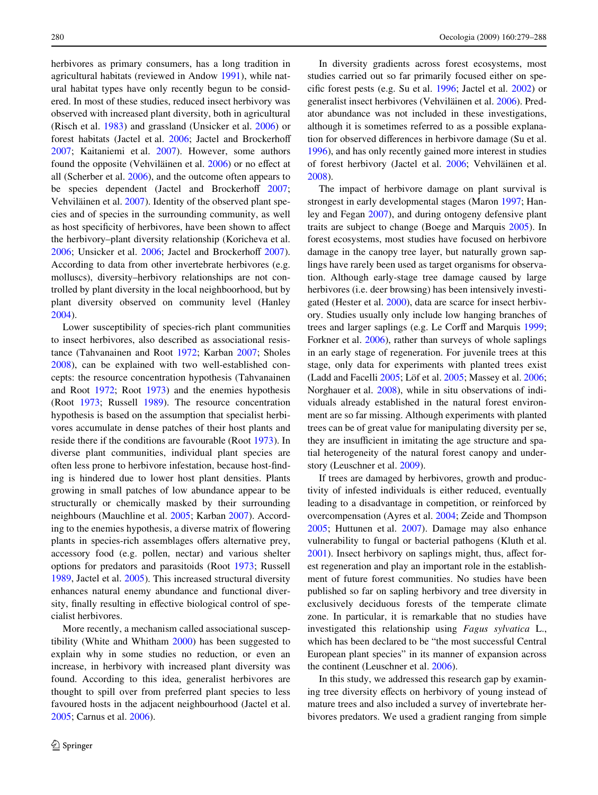herbivores as primary consumers, has a long tradition in agricultural habitats (reviewed in Andow [1991\)](#page-7-2), while natural habitat types have only recently begun to be considered. In most of these studies, reduced insect herbivory was observed with increased plant diversity, both in agricultural (Risch et al. [1983](#page-8-1)) and grassland (Unsicker et al. [2006](#page-9-0)) or forest habitats (Jactel et al. [2006](#page-8-2); Jactel and Brockerhoff [2007](#page-8-3); Kaitaniemi et al. [2007\)](#page-8-4). However, some authors found the opposite (Vehviläinen et al.  $2006$ ) or no effect at all (Scherber et al. [2006](#page-8-5)), and the outcome often appears to be species dependent (Jactel and Brockerhoff  $2007$ ; Vehviläinen et al. [2007](#page-9-2)). Identity of the observed plant species and of species in the surrounding community, as well as host specificity of herbivores, have been shown to affect the herbivory–plant diversity relationship (Koricheva et al.  $2006$ ; Unsicker et al.  $2006$ ; Jactel and Brockerhoff  $2007$ ). According to data from other invertebrate herbivores (e.g. molluscs), diversity–herbivory relationships are not controlled by plant diversity in the local neighboorhood, but by plant diversity observed on community level (Hanley [2004](#page-7-3)).

Lower susceptibility of species-rich plant communities to insect herbivores, also described as associational resistance (Tahvanainen and Root [1972](#page-9-3); Karban [2007;](#page-8-7) Sholes [2008](#page-8-8)), can be explained with two well-established concepts: the resource concentration hypothesis (Tahvanainen and Root [1972;](#page-9-3) Root [1973](#page-8-9)) and the enemies hypothesis (Root [1973](#page-8-9); Russell [1989\)](#page-8-10). The resource concentration hypothesis is based on the assumption that specialist herbivores accumulate in dense patches of their host plants and reside there if the conditions are favourable (Root [1973\)](#page-8-9). In diverse plant communities, individual plant species are often less prone to herbivore infestation, because host-finding is hindered due to lower host plant densities. Plants growing in small patches of low abundance appear to be structurally or chemically masked by their surrounding neighbours (Mauchline et al. [2005;](#page-8-11) Karban [2007\)](#page-8-7). According to the enemies hypothesis, a diverse matrix of flowering plants in species-rich assemblages offers alternative prey, accessory food (e.g. pollen, nectar) and various shelter options for predators and parasitoids (Root [1973](#page-8-9); Russell [1989](#page-8-10), Jactel et al. [2005\)](#page-8-12). This increased structural diversity enhances natural enemy abundance and functional diversity, finally resulting in effective biological control of specialist herbivores.

More recently, a mechanism called associational susceptibility (White and Whitham [2000\)](#page-9-4) has been suggested to explain why in some studies no reduction, or even an increase, in herbivory with increased plant diversity was found. According to this idea, generalist herbivores are thought to spill over from preferred plant species to less favoured hosts in the adjacent neighbourhood (Jactel et al. [2005](#page-8-12); Carnus et al. [2006](#page-7-4)).

In diversity gradients across forest ecosystems, most studies carried out so far primarily focused either on specific forest pests (e.g. Su et al.  $1996$ ; Jactel et al.  $2002$ ) or generalist insect herbivores (Vehviläinen et al. [2006](#page-9-1)). Predator abundance was not included in these investigations, although it is sometimes referred to as a possible explanation for observed differences in herbivore damage (Su et al. [1996](#page-9-5)), and has only recently gained more interest in studies of forest herbivory (Jactel et al. [2006](#page-8-2); Vehviläinen et al. [2008](#page-9-6)).

The impact of herbivore damage on plant survival is strongest in early developmental stages (Maron [1997;](#page-8-14) Hanley and Fegan [2007\)](#page-7-5), and during ontogeny defensive plant traits are subject to change (Boege and Marquis [2005\)](#page-7-6). In forest ecosystems, most studies have focused on herbivore damage in the canopy tree layer, but naturally grown saplings have rarely been used as target organisms for observation. Although early-stage tree damage caused by large herbivores (i.e. deer browsing) has been intensively investigated (Hester et al. [2000\)](#page-8-15), data are scarce for insect herbivory. Studies usually only include low hanging branches of trees and larger saplings (e.g. Le Corff and Marquis [1999;](#page-8-16) Forkner et al. [2006](#page-7-7)), rather than surveys of whole saplings in an early stage of regeneration. For juvenile trees at this stage, only data for experiments with planted trees exist (Ladd and Facelli [2005;](#page-8-17) Löf et al. [2005;](#page-8-18) Massey et al. [2006;](#page-8-19) Norghauer et al. [2008](#page-8-20)), while in situ observations of individuals already established in the natural forest environment are so far missing. Although experiments with planted trees can be of great value for manipulating diversity per se, they are insufficient in imitating the age structure and spatial heterogeneity of the natural forest canopy and understory (Leuschner et al. [2009](#page-8-21)).

If trees are damaged by herbivores, growth and productivity of infested individuals is either reduced, eventually leading to a disadvantage in competition, or reinforced by overcompensation (Ayres et al. [2004;](#page-7-8) Zeide and Thompson [2005](#page-9-7); Huttunen et al. [2007\)](#page-8-22). Damage may also enhance vulnerability to fungal or bacterial pathogens (Kluth et al.  $2001$ ). Insect herbivory on saplings might, thus, affect forest regeneration and play an important role in the establishment of future forest communities. No studies have been published so far on sapling herbivory and tree diversity in exclusively deciduous forests of the temperate climate zone. In particular, it is remarkable that no studies have investigated this relationship using *Fagus sylvatica* L., which has been declared to be "the most successful Central European plant species" in its manner of expansion across the continent (Leuschner et al. [2006\)](#page-8-24).

In this study, we addressed this research gap by examining tree diversity effects on herbivory of young instead of mature trees and also included a survey of invertebrate herbivores predators. We used a gradient ranging from simple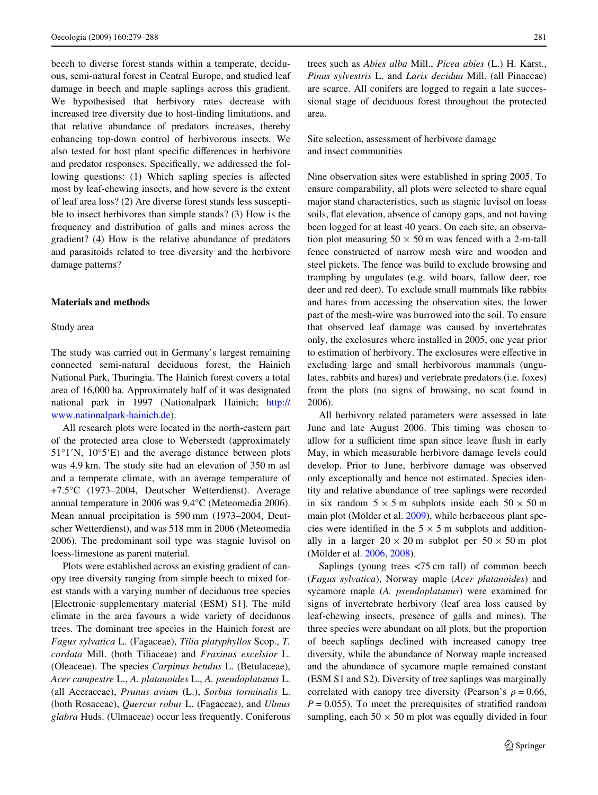beech to diverse forest stands within a temperate, deciduous, semi-natural forest in Central Europe, and studied leaf damage in beech and maple saplings across this gradient. We hypothesised that herbivory rates decrease with increased tree diversity due to host-finding limitations, and that relative abundance of predators increases, thereby enhancing top-down control of herbivorous insects. We also tested for host plant specific differences in herbivore and predator responses. Specifically, we addressed the following questions: (1) Which sapling species is affected most by leaf-chewing insects, and how severe is the extent of leaf area loss? (2) Are diverse forest stands less susceptible to insect herbivores than simple stands? (3) How is the frequency and distribution of galls and mines across the gradient? (4) How is the relative abundance of predators and parasitoids related to tree diversity and the herbivore damage patterns?

#### **Materials and methods**

#### Study area

The study was carried out in Germany's largest remaining connected semi-natural deciduous forest, the Hainich National Park, Thuringia. The Hainich forest covers a total area of 16,000 ha. Approximately half of it was designated national park in 1997 (Nationalpark Hainich; [http://](http://www.nationalpark-hainich.de) [www.nationalpark-hainich.de\)](http://www.nationalpark-hainich.de).

All research plots were located in the north-eastern part of the protected area close to Weberstedt (approximately  $51^{\circ}$ 1'N,  $10^{\circ}$ 5'E) and the average distance between plots was 4.9 km. The study site had an elevation of 350 m asl and a temperate climate, with an average temperature of +7.5°C (1973–2004, Deutscher Wetterdienst). Average annual temperature in 2006 was 9.4°C (Meteomedia 2006). Mean annual precipitation is 590 mm (1973–2004, Deutscher Wetterdienst), and was 518 mm in 2006 (Meteomedia 2006). The predominant soil type was stagnic luvisol on loess-limestone as parent material.

Plots were established across an existing gradient of canopy tree diversity ranging from simple beech to mixed forest stands with a varying number of deciduous tree species [Electronic supplementary material (ESM) S1]. The mild climate in the area favours a wide variety of deciduous trees. The dominant tree species in the Hainich forest are *Fagus sylvatica* L. (Fagaceae), *Tilia platyphyllos* Scop., *T. cordata* Mill. (both Tiliaceae) and *Fraxinus excelsior* L. (Oleaceae). The species *Carpinus betulus* L. (Betulaceae), *Acer campestre* L., *A. platanoides* L., *A. pseudoplatanus* L. (all Aceraceae), *Prunus avium* (L.), *Sorbus torminalis* L. (both Rosaceae), *Quercus robur* L. (Fagaceae), and *Ulmus glabra* Huds. (Ulmaceae) occur less frequently. Coniferous trees such as *Abies alba* Mill., *Picea abies* (L.) H. Karst., *Pinus sylvestris* L. and *Larix decidua* Mill. (all Pinaceae) are scarce. All conifers are logged to regain a late successional stage of deciduous forest throughout the protected area.

Site selection, assessment of herbivore damage and insect communities

Nine observation sites were established in spring 2005. To ensure comparability, all plots were selected to share equal major stand characteristics, such as stagnic luvisol on loess soils, flat elevation, absence of canopy gaps, and not having been logged for at least 40 years. On each site, an observation plot measuring  $50 \times 50$  m was fenced with a 2-m-tall fence constructed of narrow mesh wire and wooden and steel pickets. The fence was build to exclude browsing and trampling by ungulates (e.g. wild boars, fallow deer, roe deer and red deer). To exclude small mammals like rabbits and hares from accessing the observation sites, the lower part of the mesh-wire was burrowed into the soil. To ensure that observed leaf damage was caused by invertebrates only, the exclosures where installed in 2005, one year prior to estimation of herbivory. The exclosures were effective in excluding large and small herbivorous mammals (ungulates, rabbits and hares) and vertebrate predators (i.e. foxes) from the plots (no signs of browsing, no scat found in 2006).

All herbivory related parameters were assessed in late June and late August 2006. This timing was chosen to allow for a sufficient time span since leave flush in early May, in which measurable herbivore damage levels could develop. Prior to June, herbivore damage was observed only exceptionally and hence not estimated. Species identity and relative abundance of tree saplings were recorded in six random  $5 \times 5$  m subplots inside each  $50 \times 50$  m main plot (Mölder et al. [2009](#page-8-25)), while herbaceous plant species were identified in the  $5 \times 5$  m subplots and additionally in a larger  $20 \times 20$  m subplot per  $50 \times 50$  m plot (Mölder et al. [2006](#page-8-26), [2008](#page-8-27)).

Saplings (young trees <75 cm tall) of common beech (*Fagus sylvatica*), Norway maple (*Acer platanoides*) and sycamore maple (*A. pseudoplatanus*) were examined for signs of invertebrate herbivory (leaf area loss caused by leaf-chewing insects, presence of galls and mines). The three species were abundant on all plots, but the proportion of beech saplings declined with increased canopy tree diversity, while the abundance of Norway maple increased and the abundance of sycamore maple remained constant (ESM S1 and S2). Diversity of tree saplings was marginally correlated with canopy tree diversity (Pearson's  $\rho = 0.66$ ,  $P = 0.055$ ). To meet the prerequisites of stratified random sampling, each  $50 \times 50$  m plot was equally divided in four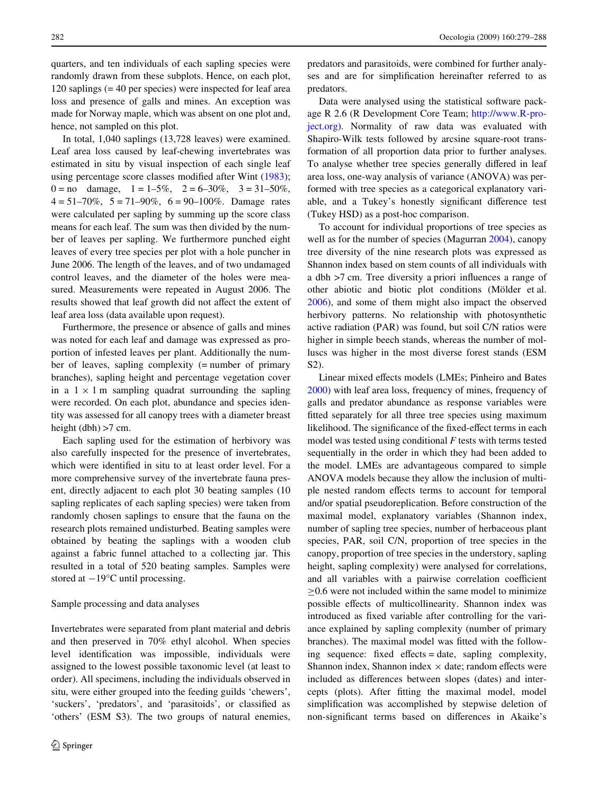quarters, and ten individuals of each sapling species were randomly drawn from these subplots. Hence, on each plot, 120 saplings (= 40 per species) were inspected for leaf area loss and presence of galls and mines. An exception was made for Norway maple, which was absent on one plot and, hence, not sampled on this plot.

In total, 1,040 saplings (13,728 leaves) were examined. Leaf area loss caused by leaf-chewing invertebrates was estimated in situ by visual inspection of each single leaf using percentage score classes modified after Wint  $(1983)$  $(1983)$  $(1983)$ ;  $0 = no$  damage,  $1 = 1-5\%$ ,  $2 = 6-30\%$ ,  $3 = 31-50\%$ ,  $4 = 51 - 70\%$ ,  $5 = 71 - 90\%$ ,  $6 = 90 - 100\%$ . Damage rates were calculated per sapling by summing up the score class means for each leaf. The sum was then divided by the number of leaves per sapling. We furthermore punched eight leaves of every tree species per plot with a hole puncher in June 2006. The length of the leaves, and of two undamaged control leaves, and the diameter of the holes were measured. Measurements were repeated in August 2006. The results showed that leaf growth did not affect the extent of leaf area loss (data available upon request).

Furthermore, the presence or absence of galls and mines was noted for each leaf and damage was expressed as proportion of infested leaves per plant. Additionally the number of leaves, sapling complexity (= number of primary branches), sapling height and percentage vegetation cover in a  $1 \times 1$  m sampling quadrat surrounding the sapling were recorded. On each plot, abundance and species identity was assessed for all canopy trees with a diameter breast height (dbh) >7 cm.

Each sapling used for the estimation of herbivory was also carefully inspected for the presence of invertebrates, which were identified in situ to at least order level. For a more comprehensive survey of the invertebrate fauna present, directly adjacent to each plot 30 beating samples (10 sapling replicates of each sapling species) were taken from randomly chosen saplings to ensure that the fauna on the research plots remained undisturbed. Beating samples were obtained by beating the saplings with a wooden club against a fabric funnel attached to a collecting jar. This resulted in a total of 520 beating samples. Samples were stored at  $-19^{\circ}$ C until processing.

## Sample processing and data analyses

Invertebrates were separated from plant material and debris and then preserved in 70% ethyl alcohol. When species level identification was impossible, individuals were assigned to the lowest possible taxonomic level (at least to order). All specimens, including the individuals observed in situ, were either grouped into the feeding guilds 'chewers', 'suckers', 'predators', and 'parasitoids', or classified as 'others' (ESM S3). The two groups of natural enemies,

predators and parasitoids, were combined for further analyses and are for simplification hereinafter referred to as predators.

Data were analysed using the statistical software package R 2.6 (R Development Core Team; [http://www.R-pro](http://www.R-project.org)[ject.org](http://www.R-project.org)). Normality of raw data was evaluated with Shapiro-Wilk tests followed by arcsine square-root transformation of all proportion data prior to further analyses. To analyse whether tree species generally differed in leaf area loss, one-way analysis of variance (ANOVA) was performed with tree species as a categorical explanatory variable, and a Tukey's honestly significant difference test (Tukey HSD) as a post-hoc comparison.

To account for individual proportions of tree species as well as for the number of species (Magurran [2004\)](#page-8-28), canopy tree diversity of the nine research plots was expressed as Shannon index based on stem counts of all individuals with a dbh  $>7$  cm. Tree diversity a priori influences a range of other abiotic and biotic plot conditions (Mölder et al. [2006](#page-8-26)), and some of them might also impact the observed herbivory patterns. No relationship with photosynthetic active radiation (PAR) was found, but soil C/N ratios were higher in simple beech stands, whereas the number of molluscs was higher in the most diverse forest stands (ESM S2).

Linear mixed effects models (LMEs; Pinheiro and Bates [2000](#page-8-29)) with leaf area loss, frequency of mines, frequency of galls and predator abundance as response variables were fitted separately for all three tree species using maximum likelihood. The significance of the fixed-effect terms in each model was tested using conditional *F* tests with terms tested sequentially in the order in which they had been added to the model. LMEs are advantageous compared to simple ANOVA models because they allow the inclusion of multiple nested random effects terms to account for temporal and/or spatial pseudoreplication. Before construction of the maximal model, explanatory variables (Shannon index, number of sapling tree species, number of herbaceous plant species, PAR, soil C/N, proportion of tree species in the canopy, proportion of tree species in the understory, sapling height, sapling complexity) were analysed for correlations, and all variables with a pairwise correlation coefficient  $\geq$ 0.6 were not included within the same model to minimize possible effects of multicollinearity. Shannon index was introduced as fixed variable after controlling for the variance explained by sapling complexity (number of primary branches). The maximal model was fitted with the following sequence: fixed effects = date, sapling complexity, Shannon index, Shannon index  $\times$  date; random effects were included as differences between slopes (dates) and intercepts (plots). After fitting the maximal model, model simplification was accomplished by stepwise deletion of non-significant terms based on differences in Akaike's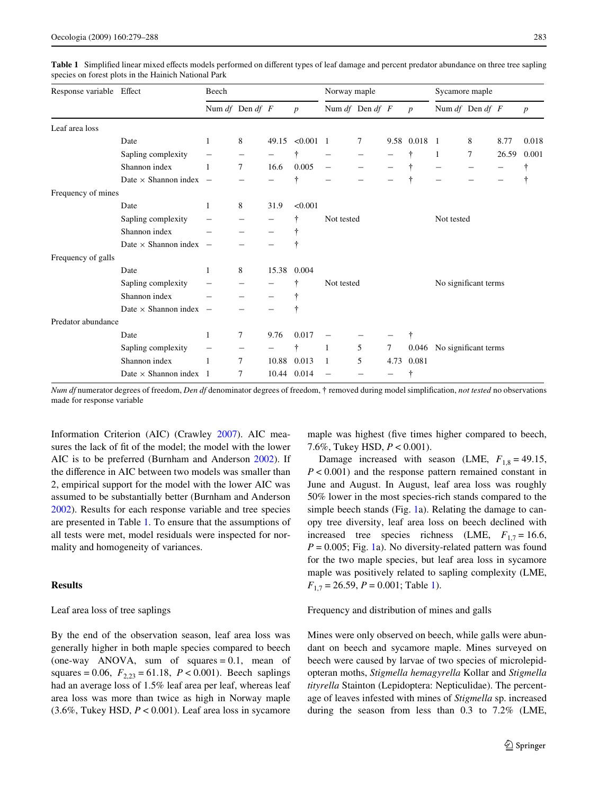| Response variable Effect |                                 | Beech               |   |       |                  | Norway maple             |   |      |                  | Sycamore maple       |        |       |                  |
|--------------------------|---------------------------------|---------------------|---|-------|------------------|--------------------------|---|------|------------------|----------------------|--------|-------|------------------|
|                          |                                 | Num $df$ Den $df$ F |   |       | $\boldsymbol{p}$ | Num $df$ Den $df$ F      |   |      | $\boldsymbol{p}$ | Num $df$ Den $df$ F  |        |       | $\boldsymbol{p}$ |
| Leaf area loss           |                                 |                     |   |       |                  |                          |   |      |                  |                      |        |       |                  |
|                          | Date                            | 1                   | 8 | 49.15 | $< 0.001$ 1      |                          | 7 |      | 9.58 0.018       | - 1                  | 8      | 8.77  | 0.018            |
|                          | Sapling complexity              |                     |   |       | ÷                |                          |   |      |                  | 1                    | $\tau$ | 26.59 | 0.001            |
|                          | Shannon index                   |                     | 7 | 16.6  | 0.005            |                          |   |      |                  |                      |        |       | t                |
|                          | Date $\times$ Shannon index $-$ |                     |   |       | ÷                |                          |   |      | ÷                |                      |        |       | ÷                |
| Frequency of mines       |                                 |                     |   |       |                  |                          |   |      |                  |                      |        |       |                  |
|                          | Date                            | 1                   | 8 | 31.9  | < 0.001          |                          |   |      |                  |                      |        |       |                  |
|                          | Sapling complexity              |                     |   |       |                  | Not tested               |   |      |                  | Not tested           |        |       |                  |
|                          | Shannon index                   |                     |   |       |                  |                          |   |      |                  |                      |        |       |                  |
|                          | Date $\times$ Shannon index $-$ |                     |   |       |                  |                          |   |      |                  |                      |        |       |                  |
| Frequency of galls       |                                 |                     |   |       |                  |                          |   |      |                  |                      |        |       |                  |
|                          | Date                            | 1                   | 8 | 15.38 | 0.004            |                          |   |      |                  |                      |        |       |                  |
|                          | Sapling complexity              |                     |   |       |                  | Not tested               |   |      |                  | No significant terms |        |       |                  |
|                          | Shannon index                   |                     |   |       |                  |                          |   |      |                  |                      |        |       |                  |
|                          | Date $\times$ Shannon index $-$ |                     |   |       |                  |                          |   |      |                  |                      |        |       |                  |
| Predator abundance       |                                 |                     |   |       |                  |                          |   |      |                  |                      |        |       |                  |
|                          | Date                            | 1                   | 7 | 9.76  | 0.017            |                          |   |      | ÷                |                      |        |       |                  |
|                          | Sapling complexity              |                     |   |       | ÷                | 1                        | 5 | 7    | 0.046            | No significant terms |        |       |                  |
|                          | Shannon index                   |                     | 7 | 10.88 | 0.013            | $\mathbf{1}$             | 5 | 4.73 | 0.081            |                      |        |       |                  |
|                          | Date $\times$ Shannon index 1   |                     | 7 | 10.44 | 0.014            | $\overline{\phantom{m}}$ |   |      |                  |                      |        |       |                  |

<span id="page-4-0"></span>Table 1 Simplified linear mixed effects models performed on different types of leaf damage and percent predator abundance on three tree sapling species on forest plots in the Hainich National Park

*Num df* numerator degrees of freedom, *Den df* denominator degrees of freedom, † removed during model simplification, *not tested* no observations made for response variable

Information Criterion (AIC) (Crawley [2007](#page-7-9)). AIC measures the lack of fit of the model; the model with the lower AIC is to be preferred (Burnham and Anderson [2002\)](#page-7-10). If the difference in AIC between two models was smaller than 2, empirical support for the model with the lower AIC was assumed to be substantially better (Burnham and Anderson [2002](#page-7-10)). Results for each response variable and tree species are presented in Table [1.](#page-4-0) To ensure that the assumptions of all tests were met, model residuals were inspected for normality and homogeneity of variances.

## **Results**

## Leaf area loss of tree saplings

By the end of the observation season, leaf area loss was generally higher in both maple species compared to beech (one-way ANOVA, sum of squares  $= 0.1$ , mean of squares = 0.06,  $F_{2,23}$  = 61.18,  $P < 0.001$ ). Beech saplings had an average loss of 1.5% leaf area per leaf, whereas leaf area loss was more than twice as high in Norway maple  $(3.6\%,$  Tukey HSD,  $P < 0.001$ ). Leaf area loss in sycamore

maple was highest (five times higher compared to beech, 7.6%, Tukey HSD, *P* < 0.001).

Damage increased with season (LME,  $F_{1,8} = 49.15$ , *P* < 0.001) and the response pattern remained constant in June and August. In August, leaf area loss was roughly 50% lower in the most species-rich stands compared to the simple beech stands (Fig. [1a](#page-5-0)). Relating the damage to canopy tree diversity, leaf area loss on beech declined with increased tree species richness (LME,  $F_{1,7} = 16.6$ , *P* = 0.005; Fig. [1a](#page-5-0)). No diversity-related pattern was found for the two maple species, but leaf area loss in sycamore maple was positively related to sapling complexity (LME, *F*<sub>1,7</sub> = 26.59, *P* = 0.001; Table [1\)](#page-4-0).

Frequency and distribution of mines and galls

Mines were only observed on beech, while galls were abundant on beech and sycamore maple. Mines surveyed on beech were caused by larvae of two species of microlepidopteran moths, *Stigmella hemagyrella* Kollar and *Stigmella tityrella* Stainton (Lepidoptera: Nepticulidae). The percentage of leaves infested with mines of *Stigmella* sp. increased during the season from less than 0.3 to 7.2% (LME,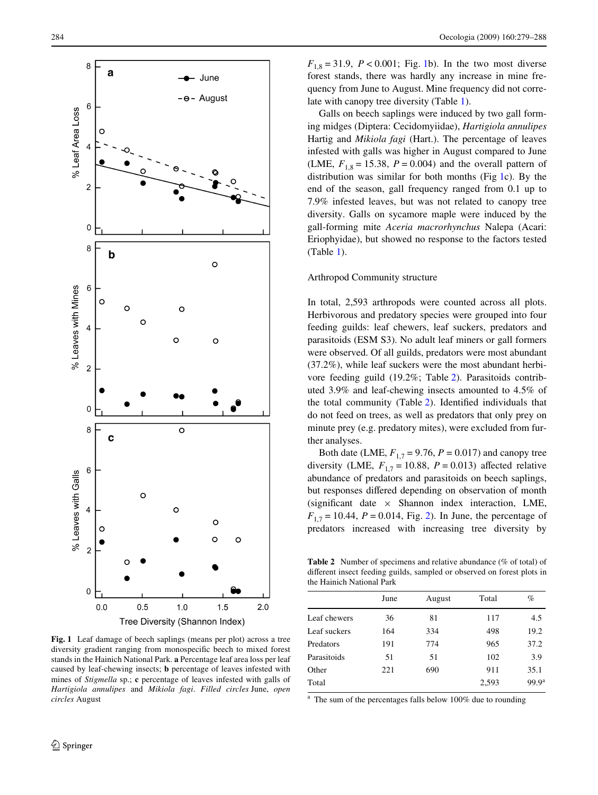

<span id="page-5-0"></span>**Fig. 1** Leaf damage of beech saplings (means per plot) across a tree diversity gradient ranging from monospecific beech to mixed forest stands in the Hainich National Park. **a** Percentage leaf area loss per leaf caused by leaf-chewing insects; **b** percentage of leaves infested with mines of *Stigmella* sp.; **c** percentage of leaves infested with galls of *Hartigiola annulipes* and *Mikiola fagi*. *Filled circles* June, *open circles* August

 $F_{1,8} = 31.9, P < 0.001$  $F_{1,8} = 31.9, P < 0.001$  $F_{1,8} = 31.9, P < 0.001$ ; Fig. 1b). In the two most diverse forest stands, there was hardly any increase in mine frequency from June to August. Mine frequency did not correlate with canopy tree diversity (Table [1](#page-4-0)).

Galls on beech saplings were induced by two gall forming midges (Diptera: Cecidomyiidae), *Hartigiola annulipes* Hartig and *Mikiola fagi* (Hart.). The percentage of leaves infested with galls was higher in August compared to June (LME,  $F_{1,8} = 15.38$ ,  $P = 0.004$ ) and the overall pattern of distribution was similar for both months (Fig [1](#page-5-0)c). By the end of the season, gall frequency ranged from 0.1 up to 7.9% infested leaves, but was not related to canopy tree diversity. Galls on sycamore maple were induced by the gall-forming mite *Aceria macrorhynchus* Nalepa (Acari: Eriophyidae), but showed no response to the factors tested (Table [1\)](#page-4-0).

#### Arthropod Community structure

In total, 2,593 arthropods were counted across all plots. Herbivorous and predatory species were grouped into four feeding guilds: leaf chewers, leaf suckers, predators and parasitoids (ESM S3). No adult leaf miners or gall formers were observed. Of all guilds, predators were most abundant (37.2%), while leaf suckers were the most abundant herbivore feeding guild (19.2%; Table [2](#page-5-1)). Parasitoids contributed 3.9% and leaf-chewing insects amounted to 4.5% of the total community (Table  $2$ ). Identified individuals that do not feed on trees, as well as predators that only prey on minute prey (e.g. predatory mites), were excluded from further analyses.

Both date (LME,  $F_{1,7} = 9.76$ ,  $P = 0.017$ ) and canopy tree diversity (LME,  $F_{1,7} = 10.88$ ,  $P = 0.013$ ) affected relative abundance of predators and parasitoids on beech saplings, but responses differed depending on observation of month (significant date  $\times$  Shannon index interaction, LME,  $F_{1,7} = 10.44$ ,  $P = 0.014$ , Fig. [2\)](#page-6-0). In June, the percentage of predators increased with increasing tree diversity by

<span id="page-5-1"></span>**Table 2** Number of specimens and relative abundance (% of total) of different insect feeding guilds, sampled or observed on forest plots in the Hainich National Park

|              | June | August | Total | $\%$              |
|--------------|------|--------|-------|-------------------|
| Leaf chewers | 36   | 81     | 117   | 4.5               |
| Leaf suckers | 164  | 334    | 498   | 19.2              |
| Predators    | 191  | 774    | 965   | 37.2              |
| Parasitoids  | 51   | 51     | 102   | 3.9               |
| Other        | 221  | 690    | 911   | 35.1              |
| Total        |      |        | 2,593 | 99.9 <sup>a</sup> |
|              |      |        |       |                   |

<sup>a</sup> The sum of the percentages falls below 100% due to rounding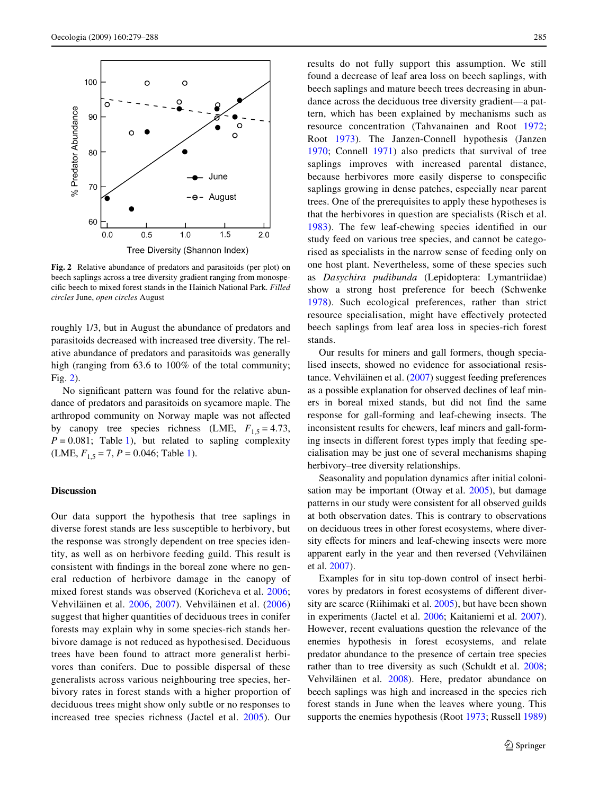

<span id="page-6-0"></span>**Fig. 2** Relative abundance of predators and parasitoids (per plot) on beech saplings across a tree diversity gradient ranging from monospecific beech to mixed forest stands in the Hainich National Park. Filled *circles* June, *open circles* August

roughly 1/3, but in August the abundance of predators and parasitoids decreased with increased tree diversity. The relative abundance of predators and parasitoids was generally high (ranging from 63.6 to 100% of the total community; Fig. [2](#page-6-0)).

No significant pattern was found for the relative abundance of predators and parasitoids on sycamore maple. The arthropod community on Norway maple was not affected by canopy tree species richness (LME,  $F_{1.5} = 4.73$ ,  $P = 0.081$ ; Table [1\)](#page-4-0), but related to sapling complexity (LME,  $F_{1,5} = 7$ ,  $P = 0.046$ ; Table [1\)](#page-4-0).

## **Discussion**

Our data support the hypothesis that tree saplings in diverse forest stands are less susceptible to herbivory, but the response was strongly dependent on tree species identity, as well as on herbivore feeding guild. This result is consistent with findings in the boreal zone where no general reduction of herbivore damage in the canopy of mixed forest stands was observed (Koricheva et al. [2006](#page-8-6); Vehviläinen et al. [2006,](#page-9-1) [2007](#page-9-2)). Vehviläinen et al. [\(2006\)](#page-9-1) suggest that higher quantities of deciduous trees in conifer forests may explain why in some species-rich stands herbivore damage is not reduced as hypothesised. Deciduous trees have been found to attract more generalist herbivores than conifers. Due to possible dispersal of these generalists across various neighbouring tree species, herbivory rates in forest stands with a higher proportion of deciduous trees might show only subtle or no responses to increased tree species richness (Jactel et al. [2005\)](#page-8-12). Our results do not fully support this assumption. We still found a decrease of leaf area loss on beech saplings, with beech saplings and mature beech trees decreasing in abundance across the deciduous tree diversity gradient—a pattern, which has been explained by mechanisms such as resource concentration (Tahvanainen and Root [1972](#page-9-3); Root [1973\)](#page-8-9). The Janzen-Connell hypothesis (Janzen [1970;](#page-8-30) Connell [1971\)](#page-7-11) also predicts that survival of tree saplings improves with increased parental distance, because herbivores more easily disperse to conspecific saplings growing in dense patches, especially near parent trees. One of the prerequisites to apply these hypotheses is that the herbivores in question are specialists (Risch et al. [1983\)](#page-8-1). The few leaf-chewing species identified in our study feed on various tree species, and cannot be categorised as specialists in the narrow sense of feeding only on one host plant. Nevertheless, some of these species such as *Dasychira pudibunda* (Lepidoptera: Lymantriidae) show a strong host preference for beech (Schwenke [1978\)](#page-8-31). Such ecological preferences, rather than strict resource specialisation, might have effectively protected beech saplings from leaf area loss in species-rich forest stands.

Our results for miners and gall formers, though specialised insects, showed no evidence for associational resistance. Vehviläinen et al. [\(2007](#page-9-2)) suggest feeding preferences as a possible explanation for observed declines of leaf miners in boreal mixed stands, but did not find the same response for gall-forming and leaf-chewing insects. The inconsistent results for chewers, leaf miners and gall-forming insects in different forest types imply that feeding specialisation may be just one of several mechanisms shaping herbivory–tree diversity relationships.

Seasonality and population dynamics after initial colonisation may be important (Otway et al. [2005](#page-8-32)), but damage patterns in our study were consistent for all observed guilds at both observation dates. This is contrary to observations on deciduous trees in other forest ecosystems, where diversity effects for miners and leaf-chewing insects were more apparent early in the year and then reversed (Vehviläinen et al. [2007](#page-9-2)).

Examples for in situ top-down control of insect herbivores by predators in forest ecosystems of different diversity are scarce (Riihimaki et al. [2005](#page-8-33)), but have been shown in experiments (Jactel et al. [2006;](#page-8-2) Kaitaniemi et al. [2007](#page-8-4)). However, recent evaluations question the relevance of the enemies hypothesis in forest ecosystems, and relate predator abundance to the presence of certain tree species rather than to tree diversity as such (Schuldt et al. [2008;](#page-8-34) Vehviläinen et al. [2008](#page-9-6)). Here, predator abundance on beech saplings was high and increased in the species rich forest stands in June when the leaves where young. This supports the enemies hypothesis (Root [1973;](#page-8-9) Russell [1989\)](#page-8-10)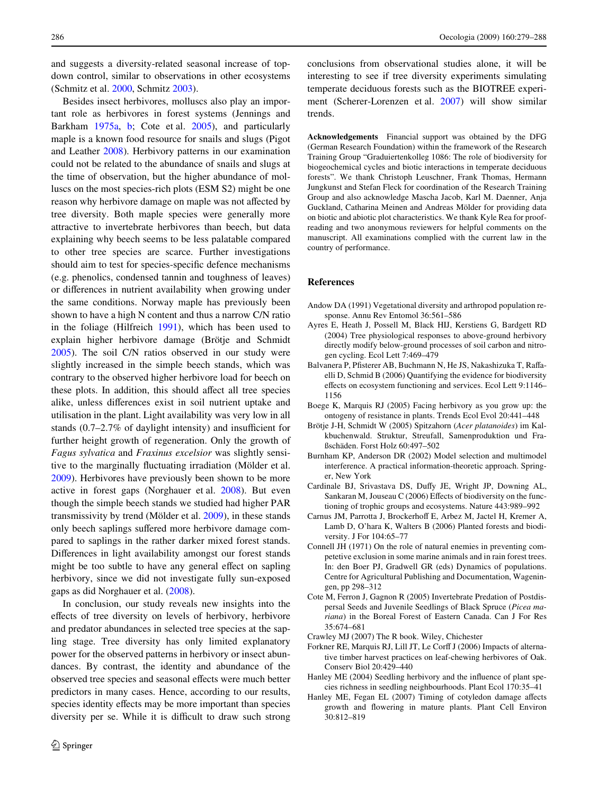and suggests a diversity-related seasonal increase of topdown control, similar to observations in other ecosystems (Schmitz et al. [2000,](#page-8-35) Schmitz [2003\)](#page-8-36).

Besides insect herbivores, molluscs also play an important role as herbivores in forest systems (Jennings and Barkham [1975a](#page-8-37), [b;](#page-8-38) Cote et al. [2005\)](#page-7-12), and particularly maple is a known food resource for snails and slugs (Pigot and Leather [2008\)](#page-8-39). Herbivory patterns in our examination could not be related to the abundance of snails and slugs at the time of observation, but the higher abundance of molluscs on the most species-rich plots (ESM S2) might be one reason why herbivore damage on maple was not affected by tree diversity. Both maple species were generally more attractive to invertebrate herbivores than beech, but data explaining why beech seems to be less palatable compared to other tree species are scarce. Further investigations should aim to test for species-specific defence mechanisms (e.g. phenolics, condensed tannin and toughness of leaves) or differences in nutrient availability when growing under the same conditions. Norway maple has previously been shown to have a high N content and thus a narrow C/N ratio in the foliage (Hilfreich [1991\)](#page-8-40), which has been used to explain higher herbivore damage (Brötje and Schmidt [2005](#page-7-13)). The soil C/N ratios observed in our study were slightly increased in the simple beech stands, which was contrary to the observed higher herbivore load for beech on these plots. In addition, this should affect all tree species alike, unless differences exist in soil nutrient uptake and utilisation in the plant. Light availability was very low in all stands  $(0.7–2.7\%)$  of daylight intensity) and insufficient for further height growth of regeneration. Only the growth of *Fagus sylvatica* and *Fraxinus excelsior* was slightly sensitive to the marginally fluctuating irradiation (Mölder et al. [2009](#page-8-25)). Herbivores have previously been shown to be more active in forest gaps (Norghauer et al. [2008\)](#page-8-20). But even though the simple beech stands we studied had higher PAR transmissivity by trend (Mölder et al. [2009](#page-8-25)), in these stands only beech saplings suffered more herbivore damage compared to saplings in the rather darker mixed forest stands. Differences in light availability amongst our forest stands might be too subtle to have any general effect on sapling herbivory, since we did not investigate fully sun-exposed gaps as did Norghauer et al. [\(2008](#page-8-20)).

In conclusion, our study reveals new insights into the effects of tree diversity on levels of herbivory, herbivore and predator abundances in selected tree species at the sapling stage. Tree diversity has only limited explanatory power for the observed patterns in herbivory or insect abundances. By contrast, the identity and abundance of the observed tree species and seasonal effects were much better predictors in many cases. Hence, according to our results, species identity effects may be more important than species diversity per se. While it is difficult to draw such strong conclusions from observational studies alone, it will be interesting to see if tree diversity experiments simulating temperate deciduous forests such as the BIOTREE experiment (Scherer-Lorenzen et al. [2007\)](#page-8-41) will show similar trends.

**Acknowledgements** Financial support was obtained by the DFG (German Research Foundation) within the framework of the Research Training Group "Graduiertenkolleg 1086: The role of biodiversity for biogeochemical cycles and biotic interactions in temperate deciduous forests". We thank Christoph Leuschner, Frank Thomas, Hermann Jungkunst and Stefan Fleck for coordination of the Research Training Group and also acknowledge Mascha Jacob, Karl M. Daenner, Anja Guckland, Catharina Meinen and Andreas Mölder for providing data on biotic and abiotic plot characteristics. We thank Kyle Rea for proofreading and two anonymous reviewers for helpful comments on the manuscript. All examinations complied with the current law in the country of performance.

#### **References**

- <span id="page-7-2"></span>Andow DA (1991) Vegetational diversity and arthropod population response. Annu Rev Entomol 36:561–586
- <span id="page-7-8"></span>Ayres E, Heath J, Possell M, Black HIJ, Kerstiens G, Bardgett RD (2004) Tree physiological responses to above-ground herbivory directly modify below-ground processes of soil carbon and nitrogen cycling. Ecol Lett 7:469–479
- <span id="page-7-0"></span>Balvanera P, Pfisterer AB, Buchmann N, He JS, Nakashizuka T, Raffaelli D, Schmid B (2006) Quantifying the evidence for biodiversity effects on ecosystem functioning and services. Ecol Lett 9:1146– 1156
- <span id="page-7-6"></span>Boege K, Marquis RJ (2005) Facing herbivory as you grow up: the ontogeny of resistance in plants. Trends Ecol Evol 20:441–448
- <span id="page-7-13"></span>Brötje J-H, Schmidt W (2005) Spitzahorn (*Acer platanoides*) im Kalkbuchenwald. Struktur, Streufall, Samenproduktion und Fraßschäden. Forst Holz 60:497–502
- <span id="page-7-10"></span>Burnham KP, Anderson DR (2002) Model selection and multimodel interference. A practical information-theoretic approach. Springer, New York
- <span id="page-7-1"></span>Cardinale BJ, Srivastava DS, Duffy JE, Wright JP, Downing AL, Sankaran M, Jouseau C (2006) Effects of biodiversity on the functioning of trophic groups and ecosystems. Nature 443:989–992
- <span id="page-7-4"></span>Carnus JM, Parrotta J, Brockerhoff E, Arbez M, Jactel H, Kremer A, Lamb D, O'hara K, Walters B (2006) Planted forests and biodiversity. J For 104:65–77
- <span id="page-7-11"></span>Connell JH (1971) On the role of natural enemies in preventing competetive exclusion in some marine animals and in rain forest trees. In: den Boer PJ, Gradwell GR (eds) Dynamics of populations. Centre for Agricultural Publishing and Documentation, Wageningen, pp 298–312
- <span id="page-7-12"></span>Cote M, Ferron J, Gagnon R (2005) Invertebrate Predation of Postdispersal Seeds and Juvenile Seedlings of Black Spruce (*Picea mariana*) in the Boreal Forest of Eastern Canada. Can J For Res 35:674–681
- <span id="page-7-9"></span>Crawley MJ (2007) The R book. Wiley, Chichester
- <span id="page-7-7"></span>Forkner RE, Marquis RJ, Lill JT, Le Corff J (2006) Impacts of alternative timber harvest practices on leaf-chewing herbivores of Oak. Conserv Biol 20:429–440
- <span id="page-7-3"></span>Hanley ME (2004) Seedling herbivory and the influence of plant species richness in seedling neighbourhoods. Plant Ecol 170:35–41
- <span id="page-7-5"></span>Hanley ME, Fegan EL (2007) Timing of cotyledon damage affects growth and flowering in mature plants. Plant Cell Environ 30:812–819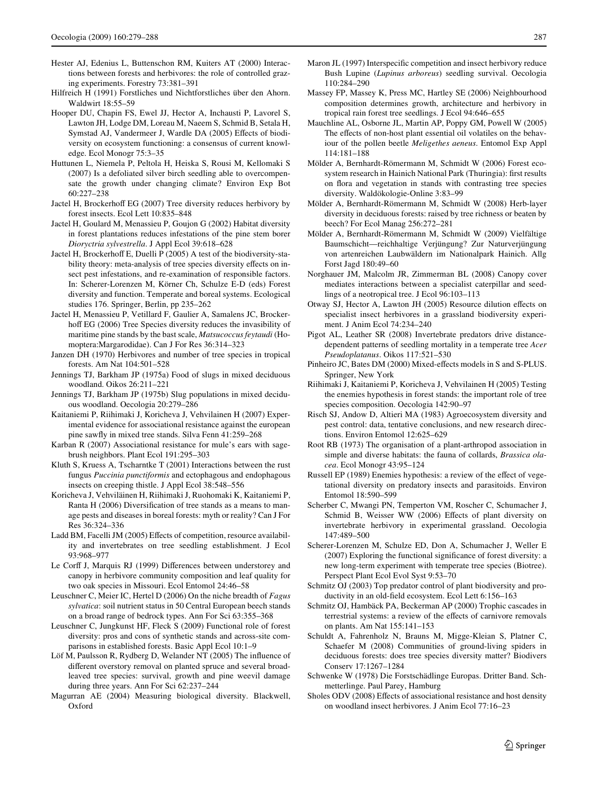- <span id="page-8-15"></span>Hester AJ, Edenius L, Buttenschon RM, Kuiters AT (2000) Interactions between forests and herbivores: the role of controlled grazing experiments. Forestry 73:381–391
- <span id="page-8-40"></span>Hilfreich H (1991) Forstliches und Nichtforstliches über den Ahorn. Waldwirt 18:55–59
- <span id="page-8-0"></span>Hooper DU, Chapin FS, Ewel JJ, Hector A, Inchausti P, Lavorel S, Lawton JH, Lodge DM, Loreau M, Naeem S, Schmid B, Setala H, Symstad AJ, Vandermeer J, Wardle DA (2005) Effects of biodiversity on ecosystem functioning: a consensus of current knowledge. Ecol Monogr 75:3–35
- <span id="page-8-22"></span>Huttunen L, Niemela P, Peltola H, Heiska S, Rousi M, Kellomaki S (2007) Is a defoliated silver birch seedling able to overcompensate the growth under changing climate? Environ Exp Bot 60:227–238
- <span id="page-8-3"></span>Jactel H, Brockerhoff EG (2007) Tree diversity reduces herbivory by forest insects. Ecol Lett 10:835–848
- <span id="page-8-13"></span>Jactel H, Goulard M, Menassieu P, Goujon G (2002) Habitat diversity in forest plantations reduces infestations of the pine stem borer *Dioryctria sylvestrella*. J Appl Ecol 39:618–628
- <span id="page-8-12"></span>Jactel H, Brockerhoff E, Duelli P (2005) A test of the biodiversity-stability theory: meta-analysis of tree species diversity effects on insect pest infestations, and re-examination of responsible factors. In: Scherer-Lorenzen M, Körner Ch, Schulze E-D (eds) Forest diversity and function. Temperate and boreal systems. Ecological studies 176. Springer, Berlin, pp 235–262
- <span id="page-8-2"></span>Jactel H, Menassieu P, Vetillard F, Gaulier A, Samalens JC, Brockerhoff EG (2006) Tree Species diversity reduces the invasibility of maritime pine stands by the bast scale, *Matsucoccus feytaudi* (Homoptera:Margarodidae). Can J For Res 36:314–323
- <span id="page-8-30"></span>Janzen DH (1970) Herbivores and number of tree species in tropical forests. Am Nat 104:501–528
- <span id="page-8-37"></span>Jennings TJ, Barkham JP (1975a) Food of slugs in mixed deciduous woodland. Oikos 26:211–221
- <span id="page-8-38"></span>Jennings TJ, Barkham JP (1975b) Slug populations in mixed deciduous woodland. Oecologia 20:279–286
- <span id="page-8-4"></span>Kaitaniemi P, Riihimaki J, Koricheva J, Vehvilainen H (2007) Experimental evidence for associational resistance against the european pine sawfly in mixed tree stands. Silva Fenn 41:259–268
- <span id="page-8-7"></span>Karban R (2007) Associational resistance for mule's ears with sagebrush neighbors. Plant Ecol 191:295–303
- <span id="page-8-23"></span>Kluth S, Kruess A, Tscharntke T (2001) Interactions between the rust fungus *Puccinia punctiformis* and ectophagous and endophagous insects on creeping thistle. J Appl Ecol 38:548–556
- <span id="page-8-6"></span>Koricheva J, Vehviläinen H, Riihimaki J, Ruohomaki K, Kaitaniemi P, Ranta H (2006) Diversification of tree stands as a means to manage pests and diseases in boreal forests: myth or reality? Can J For Res 36:324–336
- <span id="page-8-17"></span>Ladd BM, Facelli JM (2005) Effects of competition, resource availability and invertebrates on tree seedling establishment. J Ecol 93:968–977
- <span id="page-8-16"></span>Le Corff J, Marquis RJ (1999) Differences between understorey and canopy in herbivore community composition and leaf quality for two oak species in Missouri. Ecol Entomol 24:46–58
- <span id="page-8-24"></span>Leuschner C, Meier IC, Hertel D (2006) On the niche breadth of *Fagus sylvatica*: soil nutrient status in 50 Central European beech stands on a broad range of bedrock types. Ann For Sci 63:355–368
- <span id="page-8-21"></span>Leuschner C, Jungkunst HF, Fleck S (2009) Functional role of forest diversity: pros and cons of synthetic stands and across-site comparisons in established forests. Basic Appl Ecol 10:1–9
- <span id="page-8-18"></span>Löf M, Paulsson R, Rydberg D, Welander NT (2005) The influence of different overstory removal on planted spruce and several broadleaved tree species: survival, growth and pine weevil damage during three years. Ann For Sci 62:237–244
- <span id="page-8-28"></span>Magurran AE (2004) Measuring biological diversity. Blackwell, Oxford
- <span id="page-8-14"></span>Maron JL (1997) Interspecific competition and insect herbivory reduce Bush Lupine (*Lupinus arboreus*) seedling survival. Oecologia 110:284–290
- <span id="page-8-19"></span>Massey FP, Massey K, Press MC, Hartley SE (2006) Neighbourhood composition determines growth, architecture and herbivory in tropical rain forest tree seedlings. J Ecol 94:646–655
- <span id="page-8-11"></span>Mauchline AL, Osborne JL, Martin AP, Poppy GM, Powell W (2005) The effects of non-host plant essential oil volatiles on the behaviour of the pollen beetle *Meligethes aeneus*. Entomol Exp Appl 114:181–188
- <span id="page-8-26"></span>Mölder A, Bernhardt-Römermann M, Schmidt W (2006) Forest ecosystem research in Hainich National Park (Thuringia): first results on flora and vegetation in stands with contrasting tree species diversity. Waldökologie-Online 3:83–99
- <span id="page-8-27"></span>Mölder A, Bernhardt-Römermann M, Schmidt W (2008) Herb-layer diversity in deciduous forests: raised by tree richness or beaten by beech? For Ecol Manag 256:272–281
- <span id="page-8-25"></span>Mölder A, Bernhardt-Römermann M, Schmidt W (2009) Vielfältige Baumschicht—reichhaltige Verjüngung? Zur Naturverjüngung von artenreichen Laubwäldern im Nationalpark Hainich. Allg Forst Jagd 180:49–60
- <span id="page-8-20"></span>Norghauer JM, Malcolm JR, Zimmerman BL (2008) Canopy cover mediates interactions between a specialist caterpillar and seedlings of a neotropical tree. J Ecol 96:103–113
- <span id="page-8-32"></span>Otway SJ, Hector A, Lawton JH (2005) Resource dilution effects on specialist insect herbivores in a grassland biodiversity experiment. J Anim Ecol 74:234–240
- <span id="page-8-39"></span>Pigot AL, Leather SR (2008) Invertebrate predators drive distancedependent patterns of seedling mortality in a temperate tree *Acer Pseudoplatanus*. Oikos 117:521–530
- <span id="page-8-29"></span>Pinheiro JC, Bates DM (2000) Mixed-effects models in S and S-PLUS. Springer, New York
- <span id="page-8-33"></span>Riihimaki J, Kaitaniemi P, Koricheva J, Vehvilainen H (2005) Testing the enemies hypothesis in forest stands: the important role of tree species composition. Oecologia 142:90–97
- <span id="page-8-1"></span>Risch SJ, Andow D, Altieri MA (1983) Agroecosystem diversity and pest control: data, tentative conclusions, and new research directions. Environ Entomol 12:625–629
- <span id="page-8-9"></span>Root RB (1973) The organisation of a plant-arthropod association in simple and diverse habitats: the fauna of collards, *Brassica olacea*. Ecol Monogr 43:95–124
- <span id="page-8-10"></span>Russell EP (1989) Enemies hypothesis: a review of the effect of vegetational diversity on predatory insects and parasitoids. Environ Entomol 18:590–599
- <span id="page-8-5"></span>Scherber C, Mwangi PN, Temperton VM, Roscher C, Schumacher J, Schmid B, Weisser WW (2006) Effects of plant diversity on invertebrate herbivory in experimental grassland. Oecologia 147:489–500
- <span id="page-8-41"></span>Scherer-Lorenzen M, Schulze ED, Don A, Schumacher J, Weller E  $(2007)$  Exploring the functional significance of forest diversity: a new long-term experiment with temperate tree species (Biotree). Perspect Plant Ecol Evol Syst 9:53–70
- <span id="page-8-36"></span>Schmitz OJ (2003) Top predator control of plant biodiversity and productivity in an old-field ecosystem. Ecol Lett 6:156-163
- <span id="page-8-35"></span>Schmitz OJ, Hambäck PA, Beckerman AP (2000) Trophic cascades in terrestrial systems: a review of the effects of carnivore removals on plants. Am Nat 155:141–153
- <span id="page-8-34"></span>Schuldt A, Fahrenholz N, Brauns M, Migge-Kleian S, Platner C, Schaefer M (2008) Communities of ground-living spiders in deciduous forests: does tree species diversity matter? Biodivers Conserv 17:1267–1284
- <span id="page-8-31"></span>Schwenke W (1978) Die Forstschädlinge Europas. Dritter Band. Schmetterlinge. Paul Parey, Hamburg
- <span id="page-8-8"></span>Sholes ODV (2008) Effects of associational resistance and host density on woodland insect herbivores. J Anim Ecol 77:16–23